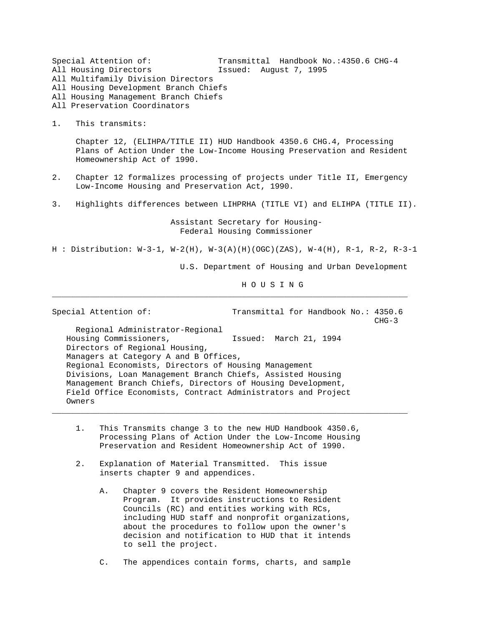Special Attention of: Transmittal Handbook No.:4350.6 CHG-4 All Housing Directors Issued: August 7, 1995 All Multifamily Division Directors All Housing Development Branch Chiefs All Housing Management Branch Chiefs All Preservation Coordinators 1. This transmits: Chapter 12, (ELIHPA/TITLE II) HUD Handbook 4350.6 CHG.4, Processing Plans of Action Under the Low-Income Housing Preservation and Resident Homeownership Act of 1990. 2. Chapter 12 formalizes processing of projects under Title II, Emergency Low-Income Housing and Preservation Act, 1990. 3. Highlights differences between LIHPRHA (TITLE VI) and ELIHPA (TITLE II). Assistant Secretary for Housing- Federal Housing Commissioner H : Distribution: W-3-1, W-2(H), W-3(A)(H)(OGC)(ZAS), W-4(H), R-1, R-2, R-3-1 U.S. Department of Housing and Urban Development H O U S I N G \_\_\_\_\_\_\_\_\_\_\_\_\_\_\_\_\_\_\_\_\_\_\_\_\_\_\_\_\_\_\_\_\_\_\_\_\_\_\_\_\_\_\_\_\_\_\_\_\_\_\_\_\_\_\_\_\_\_\_\_\_\_\_\_\_\_\_\_\_\_\_\_\_\_\_ Special Attention of: Transmittal for Handbook No.: 4350.6 CHG-3 Regional Administrator-Regional Housing Commissioners, Issued: March 21, 1994 Directors of Regional Housing, Managers at Category A and B Offices,

 Regional Economists, Directors of Housing Management Divisions, Loan Management Branch Chiefs, Assisted Housing Management Branch Chiefs, Directors of Housing Development, Field Office Economists, Contract Administrators and Project Owners

 1. This Transmits change 3 to the new HUD Handbook 4350.6, Processing Plans of Action Under the Low-Income Housing Preservation and Resident Homeownership Act of 1990.

- 2. Explanation of Material Transmitted. This issue inserts chapter 9 and appendices.
	- A. Chapter 9 covers the Resident Homeownership Program. It provides instructions to Resident Councils (RC) and entities working with RCs, including HUD staff and nonprofit organizations, about the procedures to follow upon the owner's decision and notification to HUD that it intends to sell the project.
	- C. The appendices contain forms, charts, and sample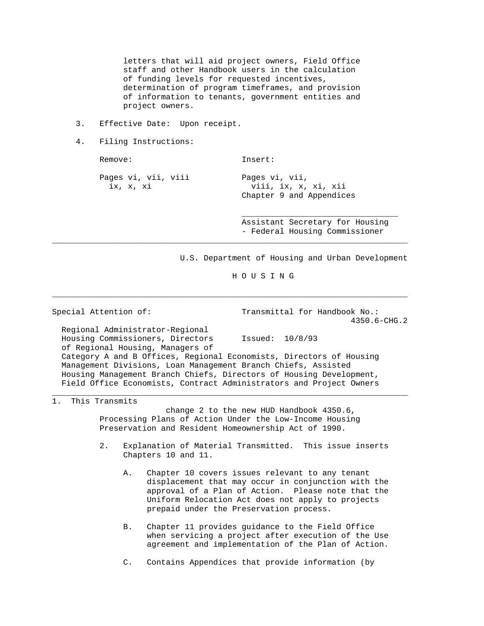letters that will aid project owners, Field Office staff and other Handbook users in the calculation of funding levels for requested incentives, determination of program timeframes, and provision of information to tenants, government entities and project owners.

- 3. Effective Date: Upon receipt.
- 4. Filing Instructions:

Remove: Insert:

Pages vi, vii, viii Pages vi, vii,

ix, x, xi viii, ix, x, xi, xii Chapter 9 and Appendices

> Assistant Secretary for Housing - Federal Housing Commissioner

U.S. Department of Housing and Urban Development

H O U S I N G

Special Attention of: Transmittal for Handbook No.: 4350.6-CHG.2

 Regional Administrator-Regional Housing Commissioners, Directors Issued: 10/8/93 of Regional Housing, Managers of Category A and B Offices, Regional Economists, Directors of Housing Management Divisions, Loan Management Branch Chiefs, Assisted Housing Management Branch Chiefs, Directors of Housing Development, Field Office Economists, Contract Administrators and Project Owners

 $\mathcal{L}_\mathcal{L}$  , which is a set of the set of the set of the set of the set of the set of the set of the set of the set of the set of the set of the set of the set of the set of the set of the set of the set of the set of

\_\_\_\_\_\_\_\_\_\_\_\_\_\_\_\_\_\_\_\_\_\_\_\_\_\_\_\_\_\_\_\_\_\_\_\_\_\_\_\_\_\_\_\_\_\_\_\_\_\_\_\_\_\_\_\_\_\_\_\_\_\_\_\_\_\_\_\_\_\_\_\_\_\_\_

\_\_\_\_\_\_\_\_\_\_\_\_\_\_\_\_\_\_\_\_\_\_\_\_\_\_\_\_\_\_\_\_\_\_\_\_\_\_\_\_\_\_\_\_\_\_\_\_\_\_\_\_\_\_\_\_\_\_\_\_\_\_\_\_\_\_\_\_\_\_\_\_\_\_\_

## 1. This Transmits

 change 2 to the new HUD Handbook 4350.6, Processing Plans of Action Under the Low-Income Housing Preservation and Resident Homeownership Act of 1990.

- 2. Explanation of Material Transmitted. This issue inserts Chapters 10 and 11.
	- A. Chapter 10 covers issues relevant to any tenant displacement that may occur in conjunction with the approval of a Plan of Action. Please note that the Uniform Relocation Act does not apply to projects prepaid under the Preservation process.
	- B. Chapter 11 provides guidance to the Field Office when servicing a project after execution of the Use agreement and implementation of the Plan of Action.
	- C. Contains Appendices that provide information (by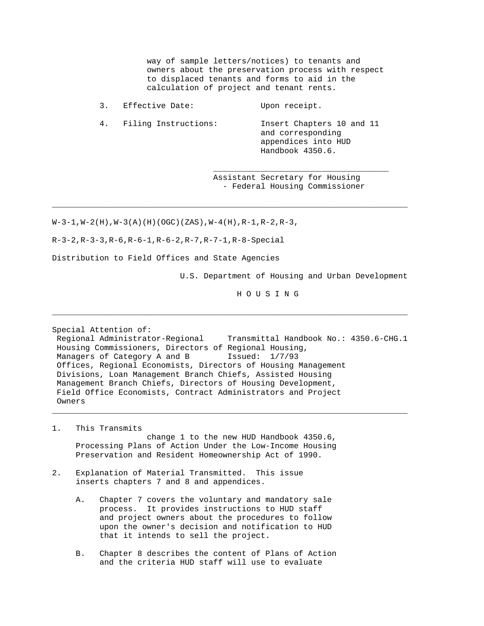way of sample letters/notices) to tenants and owners about the preservation process with respect to displaced tenants and forms to aid in the calculation of project and tenant rents.

3. Effective Date: Upon receipt.

 $\mathcal{L}_\mathcal{L}$  , which is a set of the set of the set of the set of the set of the set of the set of the set of the set of the set of the set of the set of the set of the set of the set of the set of the set of the set of

\_\_\_\_\_\_\_\_\_\_\_\_\_\_\_\_\_\_\_\_\_\_\_\_\_\_\_\_\_\_\_\_\_\_\_\_\_\_\_\_\_\_\_\_\_\_\_\_\_\_\_\_\_\_\_\_\_\_\_\_\_\_\_\_\_\_\_\_\_\_\_\_\_\_\_

 4. Filing Instructions: Insert Chapters 10 and 11 and corresponding appendices into HUD Handbook 4350.6.

> Assistant Secretary for Housing - Federal Housing Commissioner

 $W-3-1, W-2(H), W-3(A)(H)(OGC)(ZAS), W-4(H), R-1, R-2, R-3,$ 

R-3-2,R-3-3,R-6,R-6-1,R-6-2,R-7,R-7-1,R-8-Special

Distribution to Field Offices and State Agencies

U.S. Department of Housing and Urban Development

H O U S I N G

Special Attention of:

 Regional Administrator-Regional Transmittal Handbook No.: 4350.6-CHG.1 Housing Commissioners, Directors of Regional Housing, Managers of Category A and B Issued:  $1/7/93$  Offices, Regional Economists, Directors of Housing Management Divisions, Loan Management Branch Chiefs, Assisted Housing Management Branch Chiefs, Directors of Housing Development, Field Office Economists, Contract Administrators and Project Owners

\_\_\_\_\_\_\_\_\_\_\_\_\_\_\_\_\_\_\_\_\_\_\_\_\_\_\_\_\_\_\_\_\_\_\_\_\_\_\_\_\_\_\_\_\_\_\_\_\_\_\_\_\_\_\_\_\_\_\_\_\_\_\_\_\_\_\_\_\_\_\_\_\_\_\_

- 1. This Transmits change 1 to the new HUD Handbook 4350.6, Processing Plans of Action Under the Low-Income Housing Preservation and Resident Homeownership Act of 1990.
- 2. Explanation of Material Transmitted. This issue inserts chapters 7 and 8 and appendices.
	- A. Chapter 7 covers the voluntary and mandatory sale process. It provides instructions to HUD staff and project owners about the procedures to follow upon the owner's decision and notification to HUD that it intends to sell the project.
	- B. Chapter 8 describes the content of Plans of Action and the criteria HUD staff will use to evaluate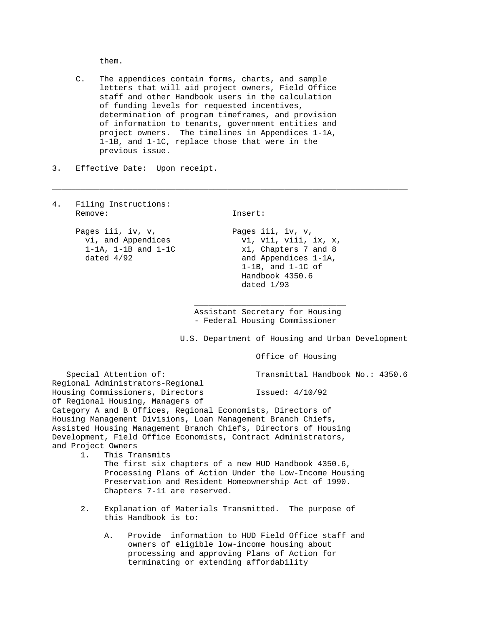them.

 C. The appendices contain forms, charts, and sample letters that will aid project owners, Field Office staff and other Handbook users in the calculation of funding levels for requested incentives, determination of program timeframes, and provision of information to tenants, government entities and project owners. The timelines in Appendices 1-1A, 1-1B, and 1-1C, replace those that were in the previous issue.

- 3. Effective Date: Upon receipt.
- 4. Filing Instructions: Remove: Insert: Pages iii, iv, v, Pages iii, iv, v, vi, and Appendices  $\overline{v}$  vi, vii, viii, ix, x, 1-1A, 1-1B and 1-1C xi, Chapters 7 and 8 dated  $4/92$  and Appendices 1-1A, 1-1B, and 1-1C of Handbook 4350.6 dated 1/93  $\mathcal{L}_\text{max}$  , and the set of the set of the set of the set of the set of the set of the set of the set of the set of the set of the set of the set of the set of the set of the set of the set of the set of the set of the Assistant Secretary for Housing - Federal Housing Commissioner U.S. Department of Housing and Urban Development Office of Housing Special Attention of: Transmittal Handbook No.: 4350.6 Regional Administrators-Regional Housing Commissioners, Directors Issued: 4/10/92 of Regional Housing, Managers of Category A and B Offices, Regional Economists, Directors of Housing Management Divisions, Loan Management Branch Chiefs, Assisted Housing Management Branch Chiefs, Directors of Housing Development, Field Office Economists, Contract Administrators, and Project Owners 1. This Transmits The first six chapters of a new HUD Handbook 4350.6, Processing Plans of Action Under the Low-Income Housing Preservation and Resident Homeownership Act of 1990. Chapters 7-11 are reserved. 2. Explanation of Materials Transmitted. The purpose of this Handbook is to: A. Provide information to HUD Field Office staff and owners of eligible low-income housing about processing and approving Plans of Action for terminating or extending affordability